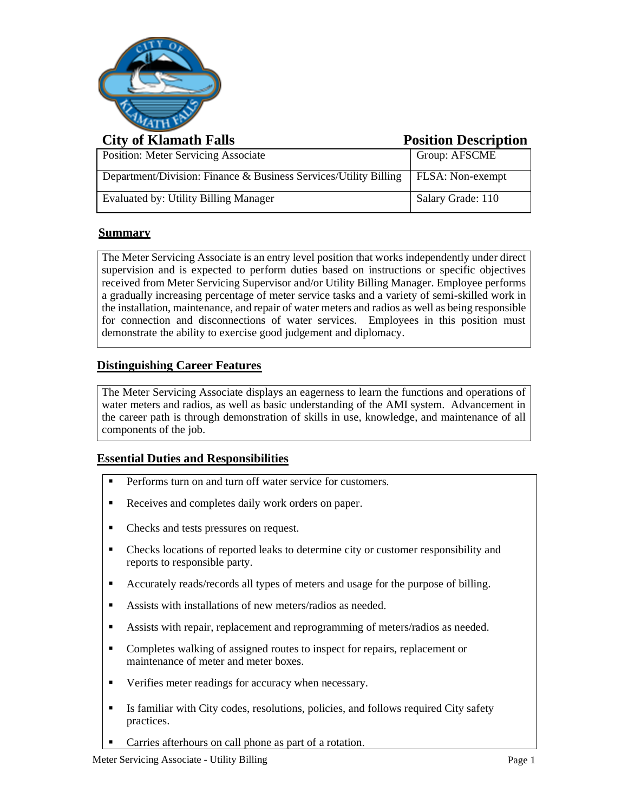

# **City of Klamath Falls Position Description**

|                                                                  | $\sim$ 00101011 $\sim$ 00011p 01011 |
|------------------------------------------------------------------|-------------------------------------|
| <b>Position: Meter Servicing Associate</b>                       | Group: AFSCME                       |
| Department/Division: Finance & Business Services/Utility Billing | <b>FLSA:</b> Non-exempt             |
| Evaluated by: Utility Billing Manager                            | Salary Grade: 110                   |

# **Summary**

The Meter Servicing Associate is an entry level position that works independently under direct supervision and is expected to perform duties based on instructions or specific objectives received from Meter Servicing Supervisor and/or Utility Billing Manager. Employee performs a gradually increasing percentage of meter service tasks and a variety of semi-skilled work in the installation, maintenance, and repair of water meters and radios as well as being responsible for connection and disconnections of water services. Employees in this position must demonstrate the ability to exercise good judgement and diplomacy.

# **Distinguishing Career Features**

The Meter Servicing Associate displays an eagerness to learn the functions and operations of water meters and radios, as well as basic understanding of the AMI system. Advancement in the career path is through demonstration of skills in use, knowledge, and maintenance of all components of the job.

# **Essential Duties and Responsibilities**

- **•** Performs turn on and turn off water service for customers.
- Receives and completes daily work orders on paper.
- Checks and tests pressures on request.
- Checks locations of reported leaks to determine city or customer responsibility and reports to responsible party.
- Accurately reads/records all types of meters and usage for the purpose of billing.
- Assists with installations of new meters/radios as needed.
- **EXECUTE:** Assists with repair, replacement and reprogramming of meters/radios as needed.
- Completes walking of assigned routes to inspect for repairs, replacement or maintenance of meter and meter boxes.
- Verifies meter readings for accuracy when necessary.
- **Exercise 1** Is familiar with City codes, resolutions, policies, and follows required City safety practices.
- Carries afterhours on call phone as part of a rotation.